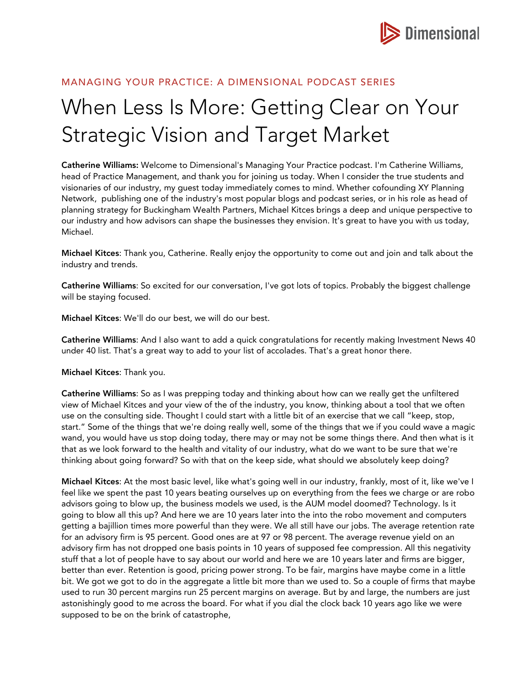

# MANAGING YOUR PRACTICE: A DIMENSIONAL PODCAST SERIES

# When Less Is More: Getting Clear on Your Strategic Vision and Target Market

Catherine Williams: Welcome to Dimensional's Managing Your Practice podcast. I'm Catherine Williams, head of Practice Management, and thank you for joining us today. When I consider the true students and visionaries of our industry, my guest today immediately comes to mind. Whether cofounding XY Planning Network, publishing one of the industry's most popular blogs and podcast series, or in his role as head of planning strategy for Buckingham Wealth Partners, Michael Kitces brings a deep and unique perspective to our industry and how advisors can shape the businesses they envision. It's great to have you with us today, Michael.

Michael Kitces: Thank you, Catherine. Really enjoy the opportunity to come out and join and talk about the industry and trends.

Catherine Williams: So excited for our conversation, I've got lots of topics. Probably the biggest challenge will be staying focused.

Michael Kitces: We'll do our best, we will do our best.

Catherine Williams: And I also want to add a quick congratulations for recently making Investment News 40 under 40 list. That's a great way to add to your list of accolades. That's a great honor there.

Michael Kitces: Thank you.

Catherine Williams: So as I was prepping today and thinking about how can we really get the unfiltered view of Michael Kitces and your view of the of the industry, you know, thinking about a tool that we often use on the consulting side. Thought I could start with a little bit of an exercise that we call "keep, stop, start." Some of the things that we're doing really well, some of the things that we if you could wave a magic wand, you would have us stop doing today, there may or may not be some things there. And then what is it that as we look forward to the health and vitality of our industry, what do we want to be sure that we're thinking about going forward? So with that on the keep side, what should we absolutely keep doing?

Michael Kitces: At the most basic level, like what's going well in our industry, frankly, most of it, like we've I feel like we spent the past 10 years beating ourselves up on everything from the fees we charge or are robo advisors going to blow up, the business models we used, is the AUM model doomed? Technology. Is it going to blow all this up? And here we are 10 years later into the into the robo movement and computers getting a bajillion times more powerful than they were. We all still have our jobs. The average retention rate for an advisory firm is 95 percent. Good ones are at 97 or 98 percent. The average revenue yield on an advisory firm has not dropped one basis points in 10 years of supposed fee compression. All this negativity stuff that a lot of people have to say about our world and here we are 10 years later and firms are bigger, better than ever. Retention is good, pricing power strong. To be fair, margins have maybe come in a little bit. We got we got to do in the aggregate a little bit more than we used to. So a couple of firms that maybe used to run 30 percent margins run 25 percent margins on average. But by and large, the numbers are just astonishingly good to me across the board. For what if you dial the clock back 10 years ago like we were supposed to be on the brink of catastrophe,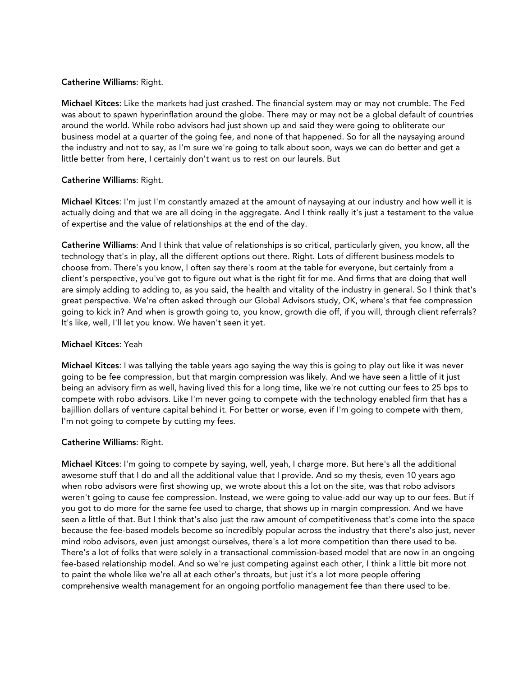#### Catherine Williams: Right.

Michael Kitces: Like the markets had just crashed. The financial system may or may not crumble. The Fed was about to spawn hyperinflation around the globe. There may or may not be a global default of countries around the world. While robo advisors had just shown up and said they were going to obliterate our business model at a quarter of the going fee, and none of that happened. So for all the naysaying around the industry and not to say, as I'm sure we're going to talk about soon, ways we can do better and get a little better from here, I certainly don't want us to rest on our laurels. But

#### Catherine Williams: Right.

Michael Kitces: I'm just I'm constantly amazed at the amount of naysaying at our industry and how well it is actually doing and that we are all doing in the aggregate. And I think really it's just a testament to the value of expertise and the value of relationships at the end of the day.

Catherine Williams: And I think that value of relationships is so critical, particularly given, you know, all the technology that's in play, all the different options out there. Right. Lots of different business models to choose from. There's you know, I often say there's room at the table for everyone, but certainly from a client's perspective, you've got to figure out what is the right fit for me. And firms that are doing that well are simply adding to adding to, as you said, the health and vitality of the industry in general. So I think that's great perspective. We're often asked through our Global Advisors study, OK, where's that fee compression going to kick in? And when is growth going to, you know, growth die off, if you will, through client referrals? It's like, well, I'll let you know. We haven't seen it yet.

#### Michael Kitces: Yeah

Michael Kitces: I was tallying the table years ago saying the way this is going to play out like it was never going to be fee compression, but that margin compression was likely. And we have seen a little of it just being an advisory firm as well, having lived this for a long time, like we're not cutting our fees to 25 bps to compete with robo advisors. Like I'm never going to compete with the technology enabled firm that has a bajillion dollars of venture capital behind it. For better or worse, even if I'm going to compete with them, I'm not going to compete by cutting my fees.

# Catherine Williams: Right.

Michael Kitces: I'm going to compete by saying, well, yeah, I charge more. But here's all the additional awesome stuff that I do and all the additional value that I provide. And so my thesis, even 10 years ago when robo advisors were first showing up, we wrote about this a lot on the site, was that robo advisors weren't going to cause fee compression. Instead, we were going to value-add our way up to our fees. But if you got to do more for the same fee used to charge, that shows up in margin compression. And we have seen a little of that. But I think that's also just the raw amount of competitiveness that's come into the space because the fee-based models become so incredibly popular across the industry that there's also just, never mind robo advisors, even just amongst ourselves, there's a lot more competition than there used to be. There's a lot of folks that were solely in a transactional commission-based model that are now in an ongoing fee-based relationship model. And so we're just competing against each other, I think a little bit more not to paint the whole like we're all at each other's throats, but just it's a lot more people offering comprehensive wealth management for an ongoing portfolio management fee than there used to be.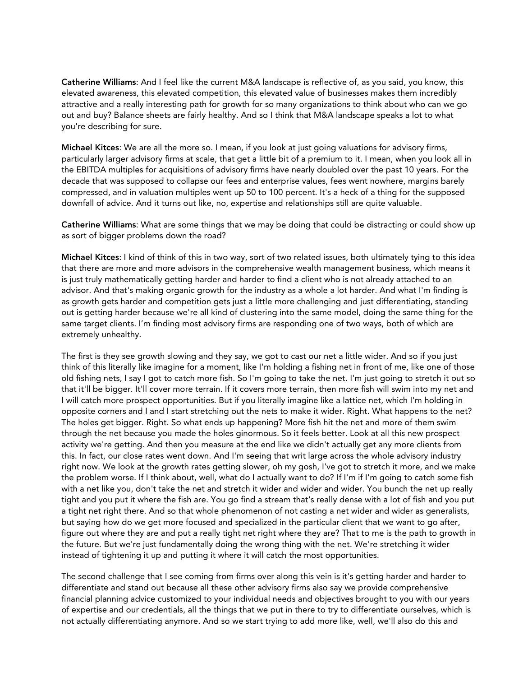Catherine Williams: And I feel like the current M&A landscape is reflective of, as you said, you know, this elevated awareness, this elevated competition, this elevated value of businesses makes them incredibly attractive and a really interesting path for growth for so many organizations to think about who can we go out and buy? Balance sheets are fairly healthy. And so I think that M&A landscape speaks a lot to what you're describing for sure.

Michael Kitces: We are all the more so. I mean, if you look at just going valuations for advisory firms, particularly larger advisory firms at scale, that get a little bit of a premium to it. I mean, when you look all in the EBITDA multiples for acquisitions of advisory firms have nearly doubled over the past 10 years. For the decade that was supposed to collapse our fees and enterprise values, fees went nowhere, margins barely compressed, and in valuation multiples went up 50 to 100 percent. It's a heck of a thing for the supposed downfall of advice. And it turns out like, no, expertise and relationships still are quite valuable.

Catherine Williams: What are some things that we may be doing that could be distracting or could show up as sort of bigger problems down the road?

Michael Kitces: I kind of think of this in two way, sort of two related issues, both ultimately tying to this idea that there are more and more advisors in the comprehensive wealth management business, which means it is just truly mathematically getting harder and harder to find a client who is not already attached to an advisor. And that's making organic growth for the industry as a whole a lot harder. And what I'm finding is as growth gets harder and competition gets just a little more challenging and just differentiating, standing out is getting harder because we're all kind of clustering into the same model, doing the same thing for the same target clients. I'm finding most advisory firms are responding one of two ways, both of which are extremely unhealthy.

The first is they see growth slowing and they say, we got to cast our net a little wider. And so if you just think of this literally like imagine for a moment, like I'm holding a fishing net in front of me, like one of those old fishing nets, I say I got to catch more fish. So I'm going to take the net. I'm just going to stretch it out so that it'll be bigger. It'll cover more terrain. If it covers more terrain, then more fish will swim into my net and I will catch more prospect opportunities. But if you literally imagine like a lattice net, which I'm holding in opposite corners and I and I start stretching out the nets to make it wider. Right. What happens to the net? The holes get bigger. Right. So what ends up happening? More fish hit the net and more of them swim through the net because you made the holes ginormous. So it feels better. Look at all this new prospect activity we're getting. And then you measure at the end like we didn't actually get any more clients from this. In fact, our close rates went down. And I'm seeing that writ large across the whole advisory industry right now. We look at the growth rates getting slower, oh my gosh, I've got to stretch it more, and we make the problem worse. If I think about, well, what do I actually want to do? If I'm if I'm going to catch some fish with a net like you, don't take the net and stretch it wider and wider and wider. You bunch the net up really tight and you put it where the fish are. You go find a stream that's really dense with a lot of fish and you put a tight net right there. And so that whole phenomenon of not casting a net wider and wider as generalists, but saying how do we get more focused and specialized in the particular client that we want to go after, figure out where they are and put a really tight net right where they are? That to me is the path to growth in the future. But we're just fundamentally doing the wrong thing with the net. We're stretching it wider instead of tightening it up and putting it where it will catch the most opportunities.

The second challenge that I see coming from firms over along this vein is it's getting harder and harder to differentiate and stand out because all these other advisory firms also say we provide comprehensive financial planning advice customized to your individual needs and objectives brought to you with our years of expertise and our credentials, all the things that we put in there to try to differentiate ourselves, which is not actually differentiating anymore. And so we start trying to add more like, well, we'll also do this and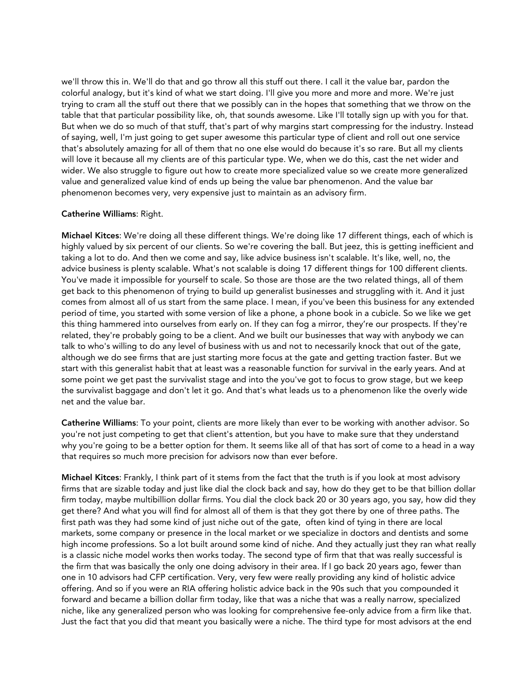we'll throw this in. We'll do that and go throw all this stuff out there. I call it the value bar, pardon the colorful analogy, but it's kind of what we start doing. I'll give you more and more and more. We're just trying to cram all the stuff out there that we possibly can in the hopes that something that we throw on the table that that particular possibility like, oh, that sounds awesome. Like I'll totally sign up with you for that. But when we do so much of that stuff, that's part of why margins start compressing for the industry. Instead of saying, well, I'm just going to get super awesome this particular type of client and roll out one service that's absolutely amazing for all of them that no one else would do because it's so rare. But all my clients will love it because all my clients are of this particular type. We, when we do this, cast the net wider and wider. We also struggle to figure out how to create more specialized value so we create more generalized value and generalized value kind of ends up being the value bar phenomenon. And the value bar phenomenon becomes very, very expensive just to maintain as an advisory firm.

# Catherine Williams: Right.

Michael Kitces: We're doing all these different things. We're doing like 17 different things, each of which is highly valued by six percent of our clients. So we're covering the ball. But jeez, this is getting inefficient and taking a lot to do. And then we come and say, like advice business isn't scalable. It's like, well, no, the advice business is plenty scalable. What's not scalable is doing 17 different things for 100 different clients. You've made it impossible for yourself to scale. So those are those are the two related things, all of them get back to this phenomenon of trying to build up generalist businesses and struggling with it. And it just comes from almost all of us start from the same place. I mean, if you've been this business for any extended period of time, you started with some version of like a phone, a phone book in a cubicle. So we like we get this thing hammered into ourselves from early on. If they can fog a mirror, they're our prospects. If they're related, they're probably going to be a client. And we built our businesses that way with anybody we can talk to who's willing to do any level of business with us and not to necessarily knock that out of the gate, although we do see firms that are just starting more focus at the gate and getting traction faster. But we start with this generalist habit that at least was a reasonable function for survival in the early years. And at some point we get past the survivalist stage and into the you've got to focus to grow stage, but we keep the survivalist baggage and don't let it go. And that's what leads us to a phenomenon like the overly wide net and the value bar.

Catherine Williams: To your point, clients are more likely than ever to be working with another advisor. So you're not just competing to get that client's attention, but you have to make sure that they understand why you're going to be a better option for them. It seems like all of that has sort of come to a head in a way that requires so much more precision for advisors now than ever before.

Michael Kitces: Frankly, I think part of it stems from the fact that the truth is if you look at most advisory firms that are sizable today and just like dial the clock back and say, how do they get to be that billion dollar firm today, maybe multibillion dollar firms. You dial the clock back 20 or 30 years ago, you say, how did they get there? And what you will find for almost all of them is that they got there by one of three paths. The first path was they had some kind of just niche out of the gate, often kind of tying in there are local markets, some company or presence in the local market or we specialize in doctors and dentists and some high income professions. So a lot built around some kind of niche. And they actually just they ran what really is a classic niche model works then works today. The second type of firm that that was really successful is the firm that was basically the only one doing advisory in their area. If I go back 20 years ago, fewer than one in 10 advisors had CFP certification. Very, very few were really providing any kind of holistic advice offering. And so if you were an RIA offering holistic advice back in the 90s such that you compounded it forward and became a billion dollar firm today, like that was a niche that was a really narrow, specialized niche, like any generalized person who was looking for comprehensive fee-only advice from a firm like that. Just the fact that you did that meant you basically were a niche. The third type for most advisors at the end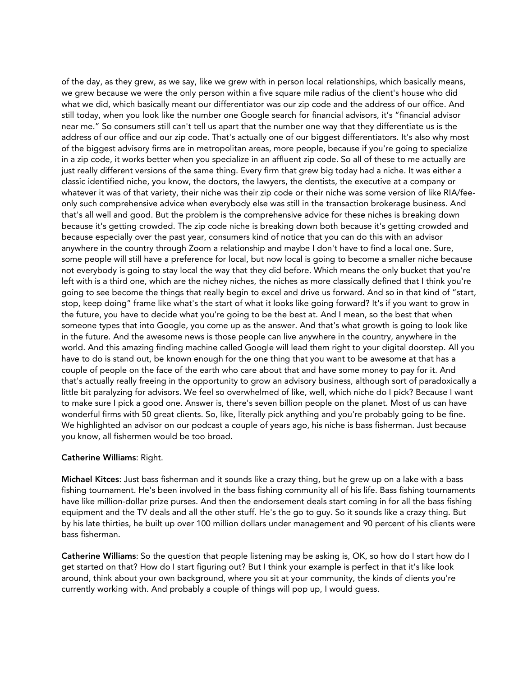of the day, as they grew, as we say, like we grew with in person local relationships, which basically means, we grew because we were the only person within a five square mile radius of the client's house who did what we did, which basically meant our differentiator was our zip code and the address of our office. And still today, when you look like the number one Google search for financial advisors, it's "financial advisor near me." So consumers still can't tell us apart that the number one way that they differentiate us is the address of our office and our zip code. That's actually one of our biggest differentiators. It's also why most of the biggest advisory firms are in metropolitan areas, more people, because if you're going to specialize in a zip code, it works better when you specialize in an affluent zip code. So all of these to me actually are just really different versions of the same thing. Every firm that grew big today had a niche. It was either a classic identified niche, you know, the doctors, the lawyers, the dentists, the executive at a company or whatever it was of that variety, their niche was their zip code or their niche was some version of like RIA/feeonly such comprehensive advice when everybody else was still in the transaction brokerage business. And that's all well and good. But the problem is the comprehensive advice for these niches is breaking down because it's getting crowded. The zip code niche is breaking down both because it's getting crowded and because especially over the past year, consumers kind of notice that you can do this with an advisor anywhere in the country through Zoom a relationship and maybe I don't have to find a local one. Sure, some people will still have a preference for local, but now local is going to become a smaller niche because not everybody is going to stay local the way that they did before. Which means the only bucket that you're left with is a third one, which are the nichey niches, the niches as more classically defined that I think you're going to see become the things that really begin to excel and drive us forward. And so in that kind of "start, stop, keep doing" frame like what's the start of what it looks like going forward? It's if you want to grow in the future, you have to decide what you're going to be the best at. And I mean, so the best that when someone types that into Google, you come up as the answer. And that's what growth is going to look like in the future. And the awesome news is those people can live anywhere in the country, anywhere in the world. And this amazing finding machine called Google will lead them right to your digital doorstep. All you have to do is stand out, be known enough for the one thing that you want to be awesome at that has a couple of people on the face of the earth who care about that and have some money to pay for it. And that's actually really freeing in the opportunity to grow an advisory business, although sort of paradoxically a little bit paralyzing for advisors. We feel so overwhelmed of like, well, which niche do I pick? Because I want to make sure I pick a good one. Answer is, there's seven billion people on the planet. Most of us can have wonderful firms with 50 great clients. So, like, literally pick anything and you're probably going to be fine. We highlighted an advisor on our podcast a couple of years ago, his niche is bass fisherman. Just because you know, all fishermen would be too broad.

#### Catherine Williams: Right.

Michael Kitces: Just bass fisherman and it sounds like a crazy thing, but he grew up on a lake with a bass fishing tournament. He's been involved in the bass fishing community all of his life. Bass fishing tournaments have like million-dollar prize purses. And then the endorsement deals start coming in for all the bass fishing equipment and the TV deals and all the other stuff. He's the go to guy. So it sounds like a crazy thing. But by his late thirties, he built up over 100 million dollars under management and 90 percent of his clients were bass fisherman.

Catherine Williams: So the question that people listening may be asking is, OK, so how do I start how do I get started on that? How do I start figuring out? But I think your example is perfect in that it's like look around, think about your own background, where you sit at your community, the kinds of clients you're currently working with. And probably a couple of things will pop up, I would guess.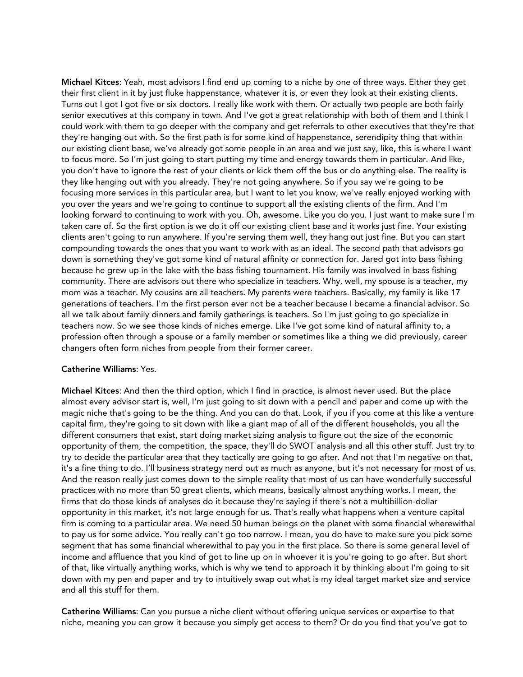Michael Kitces: Yeah, most advisors I find end up coming to a niche by one of three ways. Either they get their first client in it by just fluke happenstance, whatever it is, or even they look at their existing clients. Turns out I got I got five or six doctors. I really like work with them. Or actually two people are both fairly senior executives at this company in town. And I've got a great relationship with both of them and I think I could work with them to go deeper with the company and get referrals to other executives that they're that they're hanging out with. So the first path is for some kind of happenstance, serendipity thing that within our existing client base, we've already got some people in an area and we just say, like, this is where I want to focus more. So I'm just going to start putting my time and energy towards them in particular. And like, you don't have to ignore the rest of your clients or kick them off the bus or do anything else. The reality is they like hanging out with you already. They're not going anywhere. So if you say we're going to be focusing more services in this particular area, but I want to let you know, we've really enjoyed working with you over the years and we're going to continue to support all the existing clients of the firm. And I'm looking forward to continuing to work with you. Oh, awesome. Like you do you. I just want to make sure I'm taken care of. So the first option is we do it off our existing client base and it works just fine. Your existing clients aren't going to run anywhere. If you're serving them well, they hang out just fine. But you can start compounding towards the ones that you want to work with as an ideal. The second path that advisors go down is something they've got some kind of natural affinity or connection for. Jared got into bass fishing because he grew up in the lake with the bass fishing tournament. His family was involved in bass fishing community. There are advisors out there who specialize in teachers. Why, well, my spouse is a teacher, my mom was a teacher. My cousins are all teachers. My parents were teachers. Basically, my family is like 17 generations of teachers. I'm the first person ever not be a teacher because I became a financial advisor. So all we talk about family dinners and family gatherings is teachers. So I'm just going to go specialize in teachers now. So we see those kinds of niches emerge. Like I've got some kind of natural affinity to, a profession often through a spouse or a family member or sometimes like a thing we did previously, career changers often form niches from people from their former career.

#### Catherine Williams: Yes.

Michael Kitces: And then the third option, which I find in practice, is almost never used. But the place almost every advisor start is, well, I'm just going to sit down with a pencil and paper and come up with the magic niche that's going to be the thing. And you can do that. Look, if you if you come at this like a venture capital firm, they're going to sit down with like a giant map of all of the different households, you all the different consumers that exist, start doing market sizing analysis to figure out the size of the economic opportunity of them, the competition, the space, they'll do SWOT analysis and all this other stuff. Just try to try to decide the particular area that they tactically are going to go after. And not that I'm negative on that, it's a fine thing to do. I'll business strategy nerd out as much as anyone, but it's not necessary for most of us. And the reason really just comes down to the simple reality that most of us can have wonderfully successful practices with no more than 50 great clients, which means, basically almost anything works. I mean, the firms that do those kinds of analyses do it because they're saying if there's not a multibillion-dollar opportunity in this market, it's not large enough for us. That's really what happens when a venture capital firm is coming to a particular area. We need 50 human beings on the planet with some financial wherewithal to pay us for some advice. You really can't go too narrow. I mean, you do have to make sure you pick some segment that has some financial wherewithal to pay you in the first place. So there is some general level of income and affluence that you kind of got to line up on in whoever it is you're going to go after. But short of that, like virtually anything works, which is why we tend to approach it by thinking about I'm going to sit down with my pen and paper and try to intuitively swap out what is my ideal target market size and service and all this stuff for them.

Catherine Williams: Can you pursue a niche client without offering unique services or expertise to that niche, meaning you can grow it because you simply get access to them? Or do you find that you've got to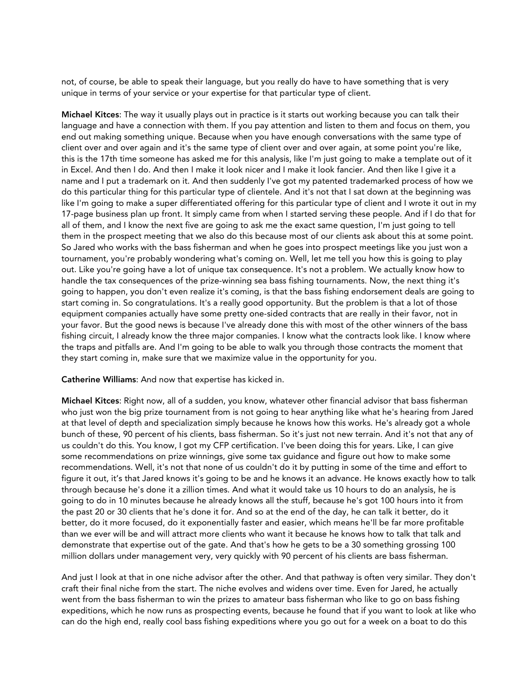not, of course, be able to speak their language, but you really do have to have something that is very unique in terms of your service or your expertise for that particular type of client.

Michael Kitces: The way it usually plays out in practice is it starts out working because you can talk their language and have a connection with them. If you pay attention and listen to them and focus on them, you end out making something unique. Because when you have enough conversations with the same type of client over and over again and it's the same type of client over and over again, at some point you're like, this is the 17th time someone has asked me for this analysis, like I'm just going to make a template out of it in Excel. And then I do. And then I make it look nicer and I make it look fancier. And then like I give it a name and I put a trademark on it. And then suddenly I've got my patented trademarked process of how we do this particular thing for this particular type of clientele. And it's not that I sat down at the beginning was like I'm going to make a super differentiated offering for this particular type of client and I wrote it out in my 17-page business plan up front. It simply came from when I started serving these people. And if I do that for all of them, and I know the next five are going to ask me the exact same question, I'm just going to tell them in the prospect meeting that we also do this because most of our clients ask about this at some point. So Jared who works with the bass fisherman and when he goes into prospect meetings like you just won a tournament, you're probably wondering what's coming on. Well, let me tell you how this is going to play out. Like you're going have a lot of unique tax consequence. It's not a problem. We actually know how to handle the tax consequences of the prize-winning sea bass fishing tournaments. Now, the next thing it's going to happen, you don't even realize it's coming, is that the bass fishing endorsement deals are going to start coming in. So congratulations. It's a really good opportunity. But the problem is that a lot of those equipment companies actually have some pretty one-sided contracts that are really in their favor, not in your favor. But the good news is because I've already done this with most of the other winners of the bass fishing circuit, I already know the three major companies. I know what the contracts look like. I know where the traps and pitfalls are. And I'm going to be able to walk you through those contracts the moment that they start coming in, make sure that we maximize value in the opportunity for you.

Catherine Williams: And now that expertise has kicked in.

Michael Kitces: Right now, all of a sudden, you know, whatever other financial advisor that bass fisherman who just won the big prize tournament from is not going to hear anything like what he's hearing from Jared at that level of depth and specialization simply because he knows how this works. He's already got a whole bunch of these, 90 percent of his clients, bass fisherman. So it's just not new terrain. And it's not that any of us couldn't do this. You know, I got my CFP certification. I've been doing this for years. Like, I can give some recommendations on prize winnings, give some tax guidance and figure out how to make some recommendations. Well, it's not that none of us couldn't do it by putting in some of the time and effort to figure it out, it's that Jared knows it's going to be and he knows it an advance. He knows exactly how to talk through because he's done it a zillion times. And what it would take us 10 hours to do an analysis, he is going to do in 10 minutes because he already knows all the stuff, because he's got 100 hours into it from the past 20 or 30 clients that he's done it for. And so at the end of the day, he can talk it better, do it better, do it more focused, do it exponentially faster and easier, which means he'll be far more profitable than we ever will be and will attract more clients who want it because he knows how to talk that talk and demonstrate that expertise out of the gate. And that's how he gets to be a 30 something grossing 100 million dollars under management very, very quickly with 90 percent of his clients are bass fisherman.

And just I look at that in one niche advisor after the other. And that pathway is often very similar. They don't craft their final niche from the start. The niche evolves and widens over time. Even for Jared, he actually went from the bass fisherman to win the prizes to amateur bass fisherman who like to go on bass fishing expeditions, which he now runs as prospecting events, because he found that if you want to look at like who can do the high end, really cool bass fishing expeditions where you go out for a week on a boat to do this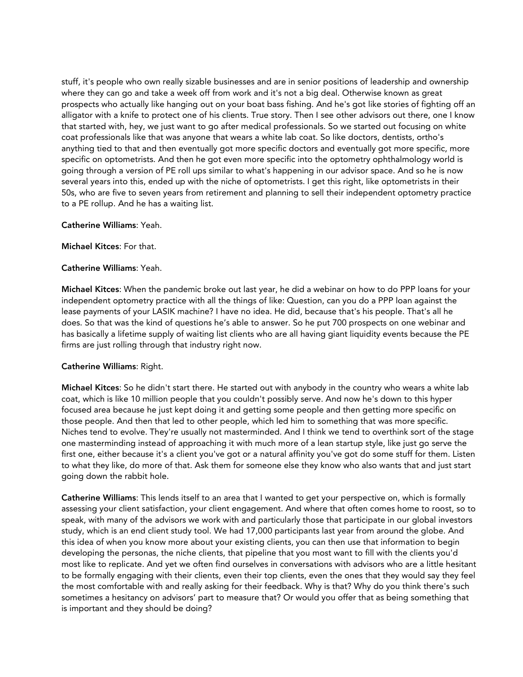stuff, it's people who own really sizable businesses and are in senior positions of leadership and ownership where they can go and take a week off from work and it's not a big deal. Otherwise known as great prospects who actually like hanging out on your boat bass fishing. And he's got like stories of fighting off an alligator with a knife to protect one of his clients. True story. Then I see other advisors out there, one I know that started with, hey, we just want to go after medical professionals. So we started out focusing on white coat professionals like that was anyone that wears a white lab coat. So like doctors, dentists, ortho's anything tied to that and then eventually got more specific doctors and eventually got more specific, more specific on optometrists. And then he got even more specific into the optometry ophthalmology world is going through a version of PE roll ups similar to what's happening in our advisor space. And so he is now several years into this, ended up with the niche of optometrists. I get this right, like optometrists in their 50s, who are five to seven years from retirement and planning to sell their independent optometry practice to a PE rollup. And he has a waiting list.

#### Catherine Williams: Yeah.

Michael Kitces: For that.

#### Catherine Williams: Yeah.

Michael Kitces: When the pandemic broke out last year, he did a webinar on how to do PPP loans for your independent optometry practice with all the things of like: Question, can you do a PPP loan against the lease payments of your LASIK machine? I have no idea. He did, because that's his people. That's all he does. So that was the kind of questions he's able to answer. So he put 700 prospects on one webinar and has basically a lifetime supply of waiting list clients who are all having giant liquidity events because the PE firms are just rolling through that industry right now.

# Catherine Williams: Right.

Michael Kitces: So he didn't start there. He started out with anybody in the country who wears a white lab coat, which is like 10 million people that you couldn't possibly serve. And now he's down to this hyper focused area because he just kept doing it and getting some people and then getting more specific on those people. And then that led to other people, which led him to something that was more specific. Niches tend to evolve. They're usually not masterminded. And I think we tend to overthink sort of the stage one masterminding instead of approaching it with much more of a lean startup style, like just go serve the first one, either because it's a client you've got or a natural affinity you've got do some stuff for them. Listen to what they like, do more of that. Ask them for someone else they know who also wants that and just start going down the rabbit hole.

Catherine Williams: This lends itself to an area that I wanted to get your perspective on, which is formally assessing your client satisfaction, your client engagement. And where that often comes home to roost, so to speak, with many of the advisors we work with and particularly those that participate in our global investors study, which is an end client study tool. We had 17,000 participants last year from around the globe. And this idea of when you know more about your existing clients, you can then use that information to begin developing the personas, the niche clients, that pipeline that you most want to fill with the clients you'd most like to replicate. And yet we often find ourselves in conversations with advisors who are a little hesitant to be formally engaging with their clients, even their top clients, even the ones that they would say they feel the most comfortable with and really asking for their feedback. Why is that? Why do you think there's such sometimes a hesitancy on advisors' part to measure that? Or would you offer that as being something that is important and they should be doing?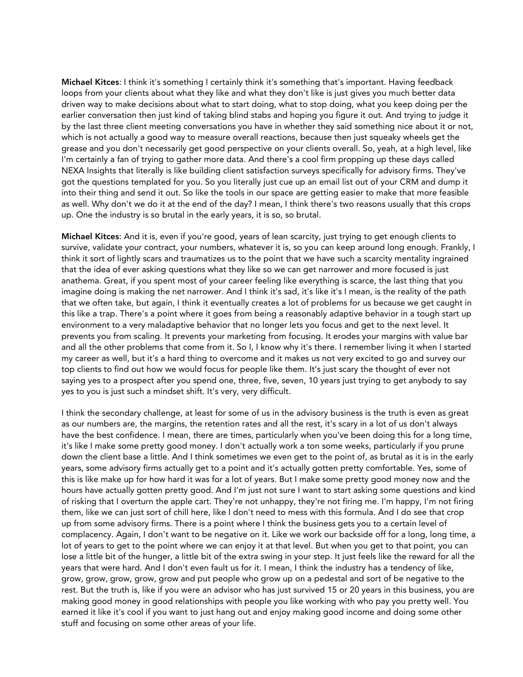Michael Kitces: I think it's something I certainly think it's something that's important. Having feedback loops from your clients about what they like and what they don't like is just gives you much better data driven way to make decisions about what to start doing, what to stop doing, what you keep doing per the earlier conversation then just kind of taking blind stabs and hoping you figure it out. And trying to judge it by the last three client meeting conversations you have in whether they said something nice about it or not, which is not actually a good way to measure overall reactions, because then just squeaky wheels get the grease and you don't necessarily get good perspective on your clients overall. So, yeah, at a high level, like I'm certainly a fan of trying to gather more data. And there's a cool firm propping up these days called NEXA Insights that literally is like building client satisfaction surveys specifically for advisory firms. They've got the questions templated for you. So you literally just cue up an email list out of your CRM and dump it into their thing and send it out. So like the tools in our space are getting easier to make that more feasible as well. Why don't we do it at the end of the day? I mean, I think there's two reasons usually that this crops up. One the industry is so brutal in the early years, it is so, so brutal.

Michael Kitces: And it is, even if you're good, years of lean scarcity, just trying to get enough clients to survive, validate your contract, your numbers, whatever it is, so you can keep around long enough. Frankly, I think it sort of lightly scars and traumatizes us to the point that we have such a scarcity mentality ingrained that the idea of ever asking questions what they like so we can get narrower and more focused is just anathema. Great, if you spent most of your career feeling like everything is scarce, the last thing that you imagine doing is making the net narrower. And I think it's sad, it's like it's I mean, is the reality of the path that we often take, but again, I think it eventually creates a lot of problems for us because we get caught in this like a trap. There's a point where it goes from being a reasonably adaptive behavior in a tough start up environment to a very maladaptive behavior that no longer lets you focus and get to the next level. It prevents you from scaling. It prevents your marketing from focusing. It erodes your margins with value bar and all the other problems that come from it. So I, I know why it's there. I remember living it when I started my career as well, but it's a hard thing to overcome and it makes us not very excited to go and survey our top clients to find out how we would focus for people like them. It's just scary the thought of ever not saying yes to a prospect after you spend one, three, five, seven, 10 years just trying to get anybody to say yes to you is just such a mindset shift. It's very, very difficult.

I think the secondary challenge, at least for some of us in the advisory business is the truth is even as great as our numbers are, the margins, the retention rates and all the rest, it's scary in a lot of us don't always have the best confidence. I mean, there are times, particularly when you've been doing this for a long time, it's like I make some pretty good money. I don't actually work a ton some weeks, particularly if you prune down the client base a little. And I think sometimes we even get to the point of, as brutal as it is in the early years, some advisory firms actually get to a point and it's actually gotten pretty comfortable. Yes, some of this is like make up for how hard it was for a lot of years. But I make some pretty good money now and the hours have actually gotten pretty good. And I'm just not sure I want to start asking some questions and kind of risking that I overturn the apple cart. They're not unhappy, they're not firing me. I'm happy, I'm not firing them, like we can just sort of chill here, like I don't need to mess with this formula. And I do see that crop up from some advisory firms. There is a point where I think the business gets you to a certain level of complacency. Again, I don't want to be negative on it. Like we work our backside off for a long, long time, a lot of years to get to the point where we can enjoy it at that level. But when you get to that point, you can lose a little bit of the hunger, a little bit of the extra swing in your step. It just feels like the reward for all the years that were hard. And I don't even fault us for it. I mean, I think the industry has a tendency of like, grow, grow, grow, grow, grow and put people who grow up on a pedestal and sort of be negative to the rest. But the truth is, like if you were an advisor who has just survived 15 or 20 years in this business, you are making good money in good relationships with people you like working with who pay you pretty well. You earned it like it's cool if you want to just hang out and enjoy making good income and doing some other stuff and focusing on some other areas of your life.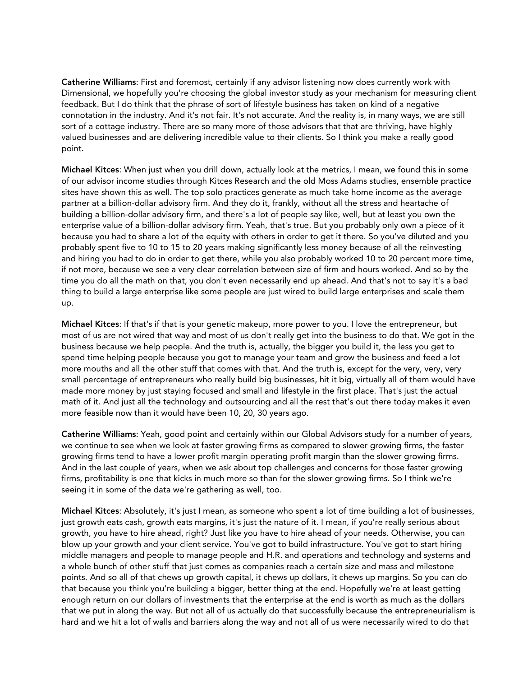Catherine Williams: First and foremost, certainly if any advisor listening now does currently work with Dimensional, we hopefully you're choosing the global investor study as your mechanism for measuring client feedback. But I do think that the phrase of sort of lifestyle business has taken on kind of a negative connotation in the industry. And it's not fair. It's not accurate. And the reality is, in many ways, we are still sort of a cottage industry. There are so many more of those advisors that that are thriving, have highly valued businesses and are delivering incredible value to their clients. So I think you make a really good point.

Michael Kitces: When just when you drill down, actually look at the metrics, I mean, we found this in some of our advisor income studies through Kitces Research and the old Moss Adams studies, ensemble practice sites have shown this as well. The top solo practices generate as much take home income as the average partner at a billion-dollar advisory firm. And they do it, frankly, without all the stress and heartache of building a billion-dollar advisory firm, and there's a lot of people say like, well, but at least you own the enterprise value of a billion-dollar advisory firm. Yeah, that's true. But you probably only own a piece of it because you had to share a lot of the equity with others in order to get it there. So you've diluted and you probably spent five to 10 to 15 to 20 years making significantly less money because of all the reinvesting and hiring you had to do in order to get there, while you also probably worked 10 to 20 percent more time, if not more, because we see a very clear correlation between size of firm and hours worked. And so by the time you do all the math on that, you don't even necessarily end up ahead. And that's not to say it's a bad thing to build a large enterprise like some people are just wired to build large enterprises and scale them up.

Michael Kitces: If that's if that is your genetic makeup, more power to you. I love the entrepreneur, but most of us are not wired that way and most of us don't really get into the business to do that. We got in the business because we help people. And the truth is, actually, the bigger you build it, the less you get to spend time helping people because you got to manage your team and grow the business and feed a lot more mouths and all the other stuff that comes with that. And the truth is, except for the very, very, very small percentage of entrepreneurs who really build big businesses, hit it big, virtually all of them would have made more money by just staying focused and small and lifestyle in the first place. That's just the actual math of it. And just all the technology and outsourcing and all the rest that's out there today makes it even more feasible now than it would have been 10, 20, 30 years ago.

Catherine Williams: Yeah, good point and certainly within our Global Advisors study for a number of years, we continue to see when we look at faster growing firms as compared to slower growing firms, the faster growing firms tend to have a lower profit margin operating profit margin than the slower growing firms. And in the last couple of years, when we ask about top challenges and concerns for those faster growing firms, profitability is one that kicks in much more so than for the slower growing firms. So I think we're seeing it in some of the data we're gathering as well, too.

Michael Kitces: Absolutely, it's just I mean, as someone who spent a lot of time building a lot of businesses, just growth eats cash, growth eats margins, it's just the nature of it. I mean, if you're really serious about growth, you have to hire ahead, right? Just like you have to hire ahead of your needs. Otherwise, you can blow up your growth and your client service. You've got to build infrastructure. You've got to start hiring middle managers and people to manage people and H.R. and operations and technology and systems and a whole bunch of other stuff that just comes as companies reach a certain size and mass and milestone points. And so all of that chews up growth capital, it chews up dollars, it chews up margins. So you can do that because you think you're building a bigger, better thing at the end. Hopefully we're at least getting enough return on our dollars of investments that the enterprise at the end is worth as much as the dollars that we put in along the way. But not all of us actually do that successfully because the entrepreneurialism is hard and we hit a lot of walls and barriers along the way and not all of us were necessarily wired to do that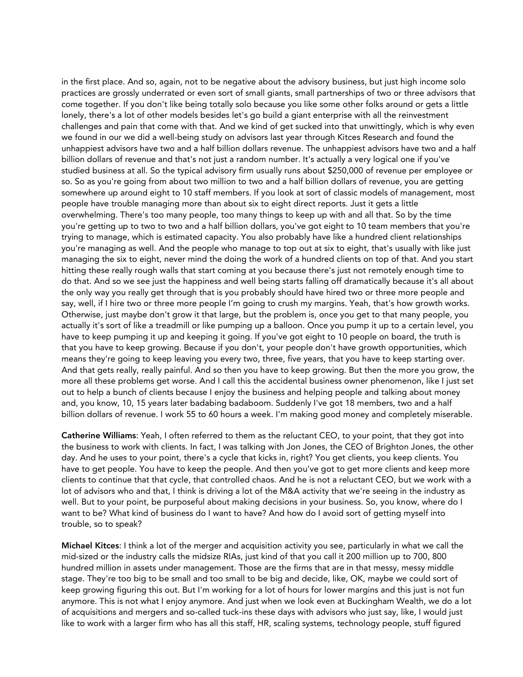in the first place. And so, again, not to be negative about the advisory business, but just high income solo practices are grossly underrated or even sort of small giants, small partnerships of two or three advisors that come together. If you don't like being totally solo because you like some other folks around or gets a little lonely, there's a lot of other models besides let's go build a giant enterprise with all the reinvestment challenges and pain that come with that. And we kind of get sucked into that unwittingly, which is why even we found in our we did a well-being study on advisors last year through Kitces Research and found the unhappiest advisors have two and a half billion dollars revenue. The unhappiest advisors have two and a half billion dollars of revenue and that's not just a random number. It's actually a very logical one if you've studied business at all. So the typical advisory firm usually runs about \$250,000 of revenue per employee or so. So as you're going from about two million to two and a half billion dollars of revenue, you are getting somewhere up around eight to 10 staff members. If you look at sort of classic models of management, most people have trouble managing more than about six to eight direct reports. Just it gets a little overwhelming. There's too many people, too many things to keep up with and all that. So by the time you're getting up to two to two and a half billion dollars, you've got eight to 10 team members that you're trying to manage, which is estimated capacity. You also probably have like a hundred client relationships you're managing as well. And the people who manage to top out at six to eight, that's usually with like just managing the six to eight, never mind the doing the work of a hundred clients on top of that. And you start hitting these really rough walls that start coming at you because there's just not remotely enough time to do that. And so we see just the happiness and well being starts falling off dramatically because it's all about the only way you really get through that is you probably should have hired two or three more people and say, well, if I hire two or three more people I'm going to crush my margins. Yeah, that's how growth works. Otherwise, just maybe don't grow it that large, but the problem is, once you get to that many people, you actually it's sort of like a treadmill or like pumping up a balloon. Once you pump it up to a certain level, you have to keep pumping it up and keeping it going. If you've got eight to 10 people on board, the truth is that you have to keep growing. Because if you don't, your people don't have growth opportunities, which means they're going to keep leaving you every two, three, five years, that you have to keep starting over. And that gets really, really painful. And so then you have to keep growing. But then the more you grow, the more all these problems get worse. And I call this the accidental business owner phenomenon, like I just set out to help a bunch of clients because I enjoy the business and helping people and talking about money and, you know, 10, 15 years later badabing badaboom. Suddenly I've got 18 members, two and a half billion dollars of revenue. I work 55 to 60 hours a week. I'm making good money and completely miserable.

Catherine Williams: Yeah, I often referred to them as the reluctant CEO, to your point, that they got into the business to work with clients. In fact, I was talking with Jon Jones, the CEO of Brighton Jones, the other day. And he uses to your point, there's a cycle that kicks in, right? You get clients, you keep clients. You have to get people. You have to keep the people. And then you've got to get more clients and keep more clients to continue that that cycle, that controlled chaos. And he is not a reluctant CEO, but we work with a lot of advisors who and that, I think is driving a lot of the M&A activity that we're seeing in the industry as well. But to your point, be purposeful about making decisions in your business. So, you know, where do I want to be? What kind of business do I want to have? And how do I avoid sort of getting myself into trouble, so to speak?

Michael Kitces: I think a lot of the merger and acquisition activity you see, particularly in what we call the mid-sized or the industry calls the midsize RIAs, just kind of that you call it 200 million up to 700, 800 hundred million in assets under management. Those are the firms that are in that messy, messy middle stage. They're too big to be small and too small to be big and decide, like, OK, maybe we could sort of keep growing figuring this out. But I'm working for a lot of hours for lower margins and this just is not fun anymore. This is not what I enjoy anymore. And just when we look even at Buckingham Wealth, we do a lot of acquisitions and mergers and so-called tuck-ins these days with advisors who just say, like, I would just like to work with a larger firm who has all this staff, HR, scaling systems, technology people, stuff figured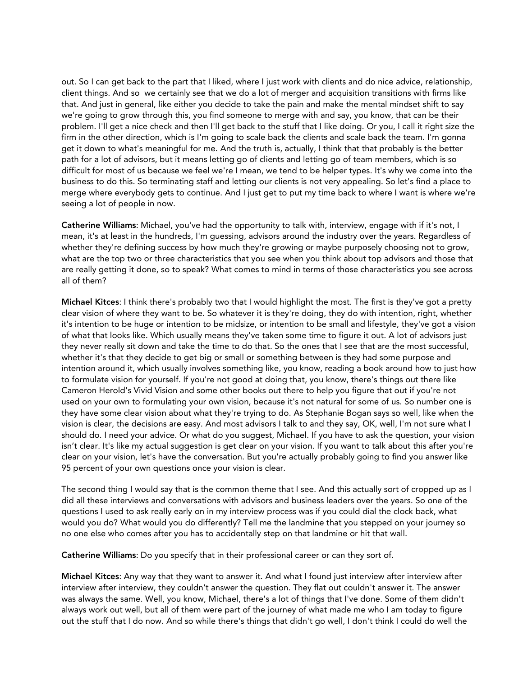out. So I can get back to the part that I liked, where I just work with clients and do nice advice, relationship, client things. And so we certainly see that we do a lot of merger and acquisition transitions with firms like that. And just in general, like either you decide to take the pain and make the mental mindset shift to say we're going to grow through this, you find someone to merge with and say, you know, that can be their problem. I'll get a nice check and then I'll get back to the stuff that I like doing. Or you, I call it right size the firm in the other direction, which is I'm going to scale back the clients and scale back the team. I'm gonna get it down to what's meaningful for me. And the truth is, actually, I think that that probably is the better path for a lot of advisors, but it means letting go of clients and letting go of team members, which is so difficult for most of us because we feel we're I mean, we tend to be helper types. It's why we come into the business to do this. So terminating staff and letting our clients is not very appealing. So let's find a place to merge where everybody gets to continue. And I just get to put my time back to where I want is where we're seeing a lot of people in now.

Catherine Williams: Michael, you've had the opportunity to talk with, interview, engage with if it's not, I mean, it's at least in the hundreds, I'm guessing, advisors around the industry over the years. Regardless of whether they're defining success by how much they're growing or maybe purposely choosing not to grow, what are the top two or three characteristics that you see when you think about top advisors and those that are really getting it done, so to speak? What comes to mind in terms of those characteristics you see across all of them?

Michael Kitces: I think there's probably two that I would highlight the most. The first is they've got a pretty clear vision of where they want to be. So whatever it is they're doing, they do with intention, right, whether it's intention to be huge or intention to be midsize, or intention to be small and lifestyle, they've got a vision of what that looks like. Which usually means they've taken some time to figure it out. A lot of advisors just they never really sit down and take the time to do that. So the ones that I see that are the most successful, whether it's that they decide to get big or small or something between is they had some purpose and intention around it, which usually involves something like, you know, reading a book around how to just how to formulate vision for yourself. If you're not good at doing that, you know, there's things out there like Cameron Herold's Vivid Vision and some other books out there to help you figure that out if you're not used on your own to formulating your own vision, because it's not natural for some of us. So number one is they have some clear vision about what they're trying to do. As Stephanie Bogan says so well, like when the vision is clear, the decisions are easy. And most advisors I talk to and they say, OK, well, I'm not sure what I should do. I need your advice. Or what do you suggest, Michael. If you have to ask the question, your vision isn't clear. It's like my actual suggestion is get clear on your vision. If you want to talk about this after you're clear on your vision, let's have the conversation. But you're actually probably going to find you answer like 95 percent of your own questions once your vision is clear.

The second thing I would say that is the common theme that I see. And this actually sort of cropped up as I did all these interviews and conversations with advisors and business leaders over the years. So one of the questions I used to ask really early on in my interview process was if you could dial the clock back, what would you do? What would you do differently? Tell me the landmine that you stepped on your journey so no one else who comes after you has to accidentally step on that landmine or hit that wall.

Catherine Williams: Do you specify that in their professional career or can they sort of.

Michael Kitces: Any way that they want to answer it. And what I found just interview after interview after interview after interview, they couldn't answer the question. They flat out couldn't answer it. The answer was always the same. Well, you know, Michael, there's a lot of things that I've done. Some of them didn't always work out well, but all of them were part of the journey of what made me who I am today to figure out the stuff that I do now. And so while there's things that didn't go well, I don't think I could do well the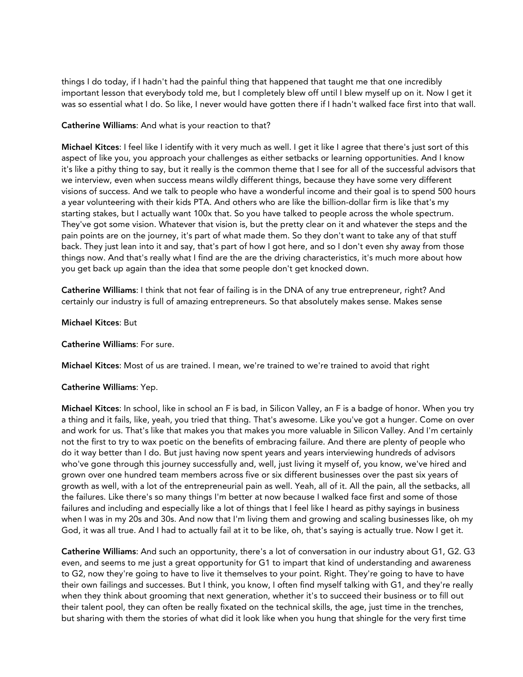things I do today, if I hadn't had the painful thing that happened that taught me that one incredibly important lesson that everybody told me, but I completely blew off until I blew myself up on it. Now I get it was so essential what I do. So like, I never would have gotten there if I hadn't walked face first into that wall.

#### Catherine Williams: And what is your reaction to that?

Michael Kitces: I feel like I identify with it very much as well. I get it like I agree that there's just sort of this aspect of like you, you approach your challenges as either setbacks or learning opportunities. And I know it's like a pithy thing to say, but it really is the common theme that I see for all of the successful advisors that we interview, even when success means wildly different things, because they have some very different visions of success. And we talk to people who have a wonderful income and their goal is to spend 500 hours a year volunteering with their kids PTA. And others who are like the billion-dollar firm is like that's my starting stakes, but I actually want 100x that. So you have talked to people across the whole spectrum. They've got some vision. Whatever that vision is, but the pretty clear on it and whatever the steps and the pain points are on the journey, it's part of what made them. So they don't want to take any of that stuff back. They just lean into it and say, that's part of how I got here, and so I don't even shy away from those things now. And that's really what I find are the are the driving characteristics, it's much more about how you get back up again than the idea that some people don't get knocked down.

Catherine Williams: I think that not fear of failing is in the DNA of any true entrepreneur, right? And certainly our industry is full of amazing entrepreneurs. So that absolutely makes sense. Makes sense

#### Michael Kitces: But

Catherine Williams: For sure.

Michael Kitces: Most of us are trained. I mean, we're trained to we're trained to avoid that right

# Catherine Williams: Yep.

Michael Kitces: In school, like in school an F is bad, in Silicon Valley, an F is a badge of honor. When you try a thing and it fails, like, yeah, you tried that thing. That's awesome. Like you've got a hunger. Come on over and work for us. That's like that makes you that makes you more valuable in Silicon Valley. And I'm certainly not the first to try to wax poetic on the benefits of embracing failure. And there are plenty of people who do it way better than I do. But just having now spent years and years interviewing hundreds of advisors who've gone through this journey successfully and, well, just living it myself of, you know, we've hired and grown over one hundred team members across five or six different businesses over the past six years of growth as well, with a lot of the entrepreneurial pain as well. Yeah, all of it. All the pain, all the setbacks, all the failures. Like there's so many things I'm better at now because I walked face first and some of those failures and including and especially like a lot of things that I feel like I heard as pithy sayings in business when I was in my 20s and 30s. And now that I'm living them and growing and scaling businesses like, oh my God, it was all true. And I had to actually fail at it to be like, oh, that's saying is actually true. Now I get it.

Catherine Williams: And such an opportunity, there's a lot of conversation in our industry about G1, G2. G3 even, and seems to me just a great opportunity for G1 to impart that kind of understanding and awareness to G2, now they're going to have to live it themselves to your point. Right. They're going to have to have their own failings and successes. But I think, you know, I often find myself talking with G1, and they're really when they think about grooming that next generation, whether it's to succeed their business or to fill out their talent pool, they can often be really fixated on the technical skills, the age, just time in the trenches, but sharing with them the stories of what did it look like when you hung that shingle for the very first time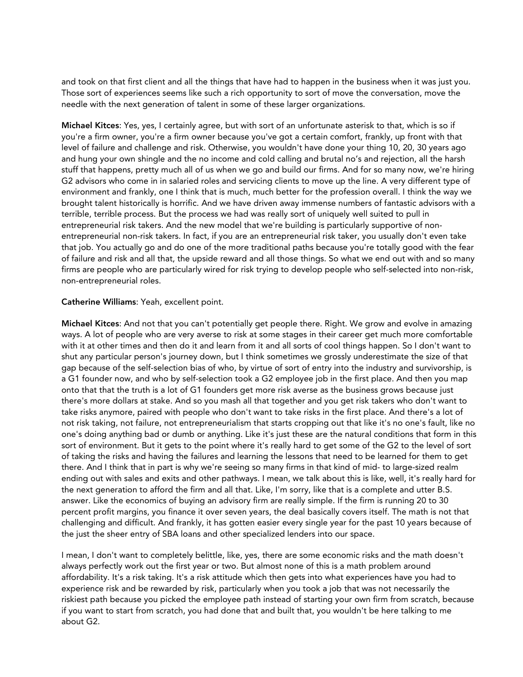and took on that first client and all the things that have had to happen in the business when it was just you. Those sort of experiences seems like such a rich opportunity to sort of move the conversation, move the needle with the next generation of talent in some of these larger organizations.

Michael Kitces: Yes, yes, I certainly agree, but with sort of an unfortunate asterisk to that, which is so if you're a firm owner, you're a firm owner because you've got a certain comfort, frankly, up front with that level of failure and challenge and risk. Otherwise, you wouldn't have done your thing 10, 20, 30 years ago and hung your own shingle and the no income and cold calling and brutal no's and rejection, all the harsh stuff that happens, pretty much all of us when we go and build our firms. And for so many now, we're hiring G2 advisors who come in in salaried roles and servicing clients to move up the line. A very different type of environment and frankly, one I think that is much, much better for the profession overall. I think the way we brought talent historically is horrific. And we have driven away immense numbers of fantastic advisors with a terrible, terrible process. But the process we had was really sort of uniquely well suited to pull in entrepreneurial risk takers. And the new model that we're building is particularly supportive of nonentrepreneurial non-risk takers. In fact, if you are an entrepreneurial risk taker, you usually don't even take that job. You actually go and do one of the more traditional paths because you're totally good with the fear of failure and risk and all that, the upside reward and all those things. So what we end out with and so many firms are people who are particularly wired for risk trying to develop people who self-selected into non-risk, non-entrepreneurial roles.

#### Catherine Williams: Yeah, excellent point.

Michael Kitces: And not that you can't potentially get people there. Right. We grow and evolve in amazing ways. A lot of people who are very averse to risk at some stages in their career get much more comfortable with it at other times and then do it and learn from it and all sorts of cool things happen. So I don't want to shut any particular person's journey down, but I think sometimes we grossly underestimate the size of that gap because of the self-selection bias of who, by virtue of sort of entry into the industry and survivorship, is a G1 founder now, and who by self-selection took a G2 employee job in the first place. And then you map onto that that the truth is a lot of G1 founders get more risk averse as the business grows because just there's more dollars at stake. And so you mash all that together and you get risk takers who don't want to take risks anymore, paired with people who don't want to take risks in the first place. And there's a lot of not risk taking, not failure, not entrepreneurialism that starts cropping out that like it's no one's fault, like no one's doing anything bad or dumb or anything. Like it's just these are the natural conditions that form in this sort of environment. But it gets to the point where it's really hard to get some of the G2 to the level of sort of taking the risks and having the failures and learning the lessons that need to be learned for them to get there. And I think that in part is why we're seeing so many firms in that kind of mid- to large-sized realm ending out with sales and exits and other pathways. I mean, we talk about this is like, well, it's really hard for the next generation to afford the firm and all that. Like, I'm sorry, like that is a complete and utter B.S. answer. Like the economics of buying an advisory firm are really simple. If the firm is running 20 to 30 percent profit margins, you finance it over seven years, the deal basically covers itself. The math is not that challenging and difficult. And frankly, it has gotten easier every single year for the past 10 years because of the just the sheer entry of SBA loans and other specialized lenders into our space.

I mean, I don't want to completely belittle, like, yes, there are some economic risks and the math doesn't always perfectly work out the first year or two. But almost none of this is a math problem around affordability. It's a risk taking. It's a risk attitude which then gets into what experiences have you had to experience risk and be rewarded by risk, particularly when you took a job that was not necessarily the riskiest path because you picked the employee path instead of starting your own firm from scratch, because if you want to start from scratch, you had done that and built that, you wouldn't be here talking to me about G2.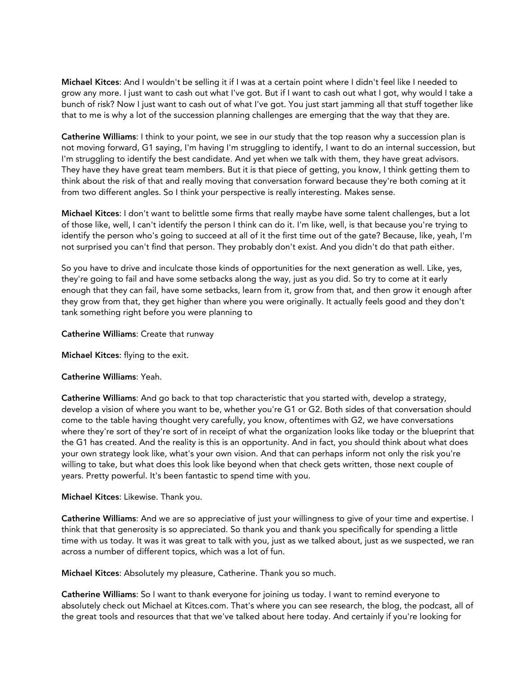Michael Kitces: And I wouldn't be selling it if I was at a certain point where I didn't feel like I needed to grow any more. I just want to cash out what I've got. But if I want to cash out what I got, why would I take a bunch of risk? Now I just want to cash out of what I've got. You just start jamming all that stuff together like that to me is why a lot of the succession planning challenges are emerging that the way that they are.

Catherine Williams: I think to your point, we see in our study that the top reason why a succession plan is not moving forward, G1 saying, I'm having I'm struggling to identify, I want to do an internal succession, but I'm struggling to identify the best candidate. And yet when we talk with them, they have great advisors. They have they have great team members. But it is that piece of getting, you know, I think getting them to think about the risk of that and really moving that conversation forward because they're both coming at it from two different angles. So I think your perspective is really interesting. Makes sense.

Michael Kitces: I don't want to belittle some firms that really maybe have some talent challenges, but a lot of those like, well, I can't identify the person I think can do it. I'm like, well, is that because you're trying to identify the person who's going to succeed at all of it the first time out of the gate? Because, like, yeah, I'm not surprised you can't find that person. They probably don't exist. And you didn't do that path either.

So you have to drive and inculcate those kinds of opportunities for the next generation as well. Like, yes, they're going to fail and have some setbacks along the way, just as you did. So try to come at it early enough that they can fail, have some setbacks, learn from it, grow from that, and then grow it enough after they grow from that, they get higher than where you were originally. It actually feels good and they don't tank something right before you were planning to

Catherine Williams: Create that runway

Michael Kitces: flying to the exit.

# Catherine Williams: Yeah.

Catherine Williams: And go back to that top characteristic that you started with, develop a strategy, develop a vision of where you want to be, whether you're G1 or G2. Both sides of that conversation should come to the table having thought very carefully, you know, oftentimes with G2, we have conversations where they're sort of they're sort of in receipt of what the organization looks like today or the blueprint that the G1 has created. And the reality is this is an opportunity. And in fact, you should think about what does your own strategy look like, what's your own vision. And that can perhaps inform not only the risk you're willing to take, but what does this look like beyond when that check gets written, those next couple of years. Pretty powerful. It's been fantastic to spend time with you.

#### Michael Kitces: Likewise. Thank you.

Catherine Williams: And we are so appreciative of just your willingness to give of your time and expertise. I think that that generosity is so appreciated. So thank you and thank you specifically for spending a little time with us today. It was it was great to talk with you, just as we talked about, just as we suspected, we ran across a number of different topics, which was a lot of fun.

Michael Kitces: Absolutely my pleasure, Catherine. Thank you so much.

Catherine Williams: So I want to thank everyone for joining us today. I want to remind everyone to absolutely check out Michael at Kitces.com. That's where you can see research, the blog, the podcast, all of the great tools and resources that that we've talked about here today. And certainly if you're looking for